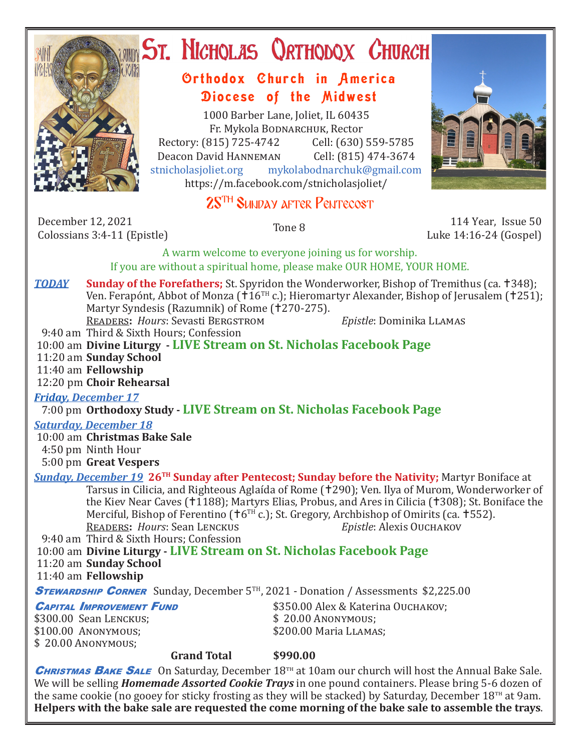

# ST. NICHOLAS QRTHODOX CHURCH

# Orthodox Church in America Diocese of the Midwest

1000 Barber Lane, Joliet, IL 60435 Fr. Mykola Bodnarchuk, Rector Rectory: (815) 725-4742 Cell: (630) 559-5785<br>Deacon David HANNEMAN Cell: (815) 474-3674 Deacon David HANNEMAN<br>stnicholasioliet.org mvk mykolabodnarchuk@gmail.com https://m.facebook.com/stnicholasjoliet/

# 25<sup>TH</sup> SUNDAY AFTER PENTECOST

December 12, 2021 December 12, 2021 114 Year, Issue 50<br>Colossians 3:4-11 (Epistle) 115-24 (Gospel)

Luke 14:16-24 (Gospel)

A warm welcome to everyone joining us for worship. If you are without a spiritual home, please make OUR HOME, YOUR HOME.

**TODAY Sunday of the Forefathers;** St. Spyridon the Wonderworker, Bishop of Tremithus (ca. †348); Ven. Ferapónt, Abbot of Monza (†16<sup>TH</sup> c.); Hieromartyr Alexander, Bishop of Jerusalem (†251); Martyr Syndesis (Razumnik) of Rome (†270-275). Readers**:** *Hours*: Sevasti Bergstrom *Epistle*: Dominika Llamas

9:40 am Third & Sixth Hours; Confession

- 10:00 am **Divine Liturgy LIVE Stream on St. Nicholas Facebook Page**
- 11:20 am **Sunday School**
- 11:40 am **Fellowship**

12:20 pm **Choir Rehearsal**

*Friday, December 17* 

7:00 pm **Orthodoxy Study - LIVE Stream on St. Nicholas Facebook Page**

#### *Saturday, December 18*

 10:00 am **Christmas Bake Sale** 4:50 pm Ninth Hour 5:00 pm **Great Vespers**

*Sunday, December 19* **26TH Sunday after Pentecost; Sunday before the Nativity;** Martyr Boniface at Tarsus in Cilicia, and Righteous Aglaída of Rome (†290); Ven. Ilya of Murom, Wonderworker of the Kiev Near Caves (†1188); Martyrs Elias, Probus, and Ares in Cilicia (†308); St. Boniface the Merciful, Bishop of Ferentino ( $\text{†}6^{TH}$  c.); St. Gregory, Archbishop of Omirits (ca. †552).<br>READERS: Hours: Sean LENCKUS Epistle: Alexis OUCHAKOV **READERS: Hours: Sean LENCKUS** 

9:40 am Third & Sixth Hours; Confession

 10:00 am **Divine Liturgy - LIVE Stream on St. Nicholas Facebook Page** 11:20 am **Sunday School**

11:40 am **Fellowship**

**STEWARDSHIP CORNER** Sunday, December 5<sup>TH</sup>, 2021 - Donation / Assessments \$2,225.00

\$300.00 Sean LENCKUS;<br>\$100.00 ANONYMOUS; \$ 20.00 Anonymous;

**CAPITAL IMPROVEMENT FUND** \$350.00 Alex & Katerina Ouchakov;<br>\$300.00 Sean Lenckus: \$20.00 Anonymous:  $$200.00$  Maria LLAMAS;

**Grand Total \$990.00**

CHRISTMAS BAKE SALE On Saturday, December 18<sup>TH</sup> at 10am our church will host the Annual Bake Sale. We will be selling *Homemade Assorted Cookie Trays* in one pound containers. Please bring 5-6 dozen of the same cookie (no gooey for sticky frosting as they will be stacked) by Saturday, December  $18<sup>TH</sup>$  at 9am. **Helpers with the bake sale are requested the come morning of the bake sale to assemble the trays**.